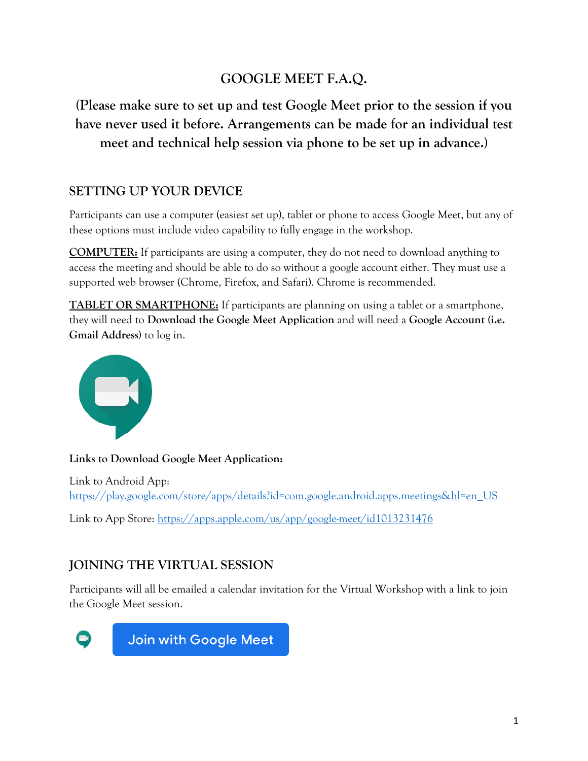# **GOOGLE MEET F.A.Q.**

**(Please make sure to set up and test Google Meet prior to the session if you have never used it before. Arrangements can be made for an individual test meet and technical help session via phone to be set up in advance.)**

### **SETTING UP YOUR DEVICE**

Participants can use a computer (easiest set up), tablet or phone to access Google Meet, but any of these options must include video capability to fully engage in the workshop.

**COMPUTER:** If participants are using a computer, they do not need to download anything to access the meeting and should be able to do so without a google account either. They must use a supported web browser (Chrome, Firefox, and Safari). Chrome is recommended.

**TABLET OR SMARTPHONE:** If participants are planning on using a tablet or a smartphone, they will need to **Download the Google Meet Application** and will need a **Google Account (i.e. Gmail Address)** to log in.



**Links to Download Google Meet Application:**

Link to Android App: https://play.google.com/store/apps/details?id=com.google.android.apps.meetings&hl=en\_US

Link to App Store: https://apps.apple.com/us/app/google-meet/id1013231476

## **JOINING THE VIRTUAL SESSION**

Participants will all be emailed a calendar invitation for the Virtual Workshop with a link to join the Google Meet session.



**Join with Google Meet**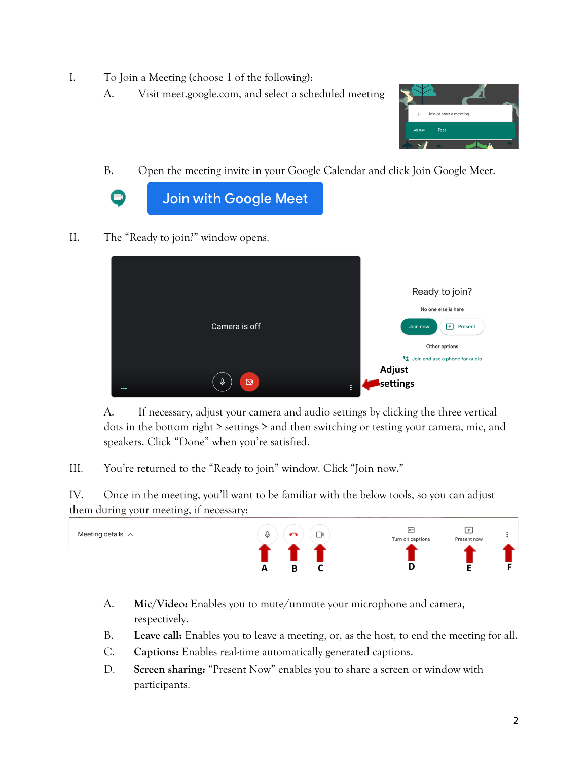- I. To Join a Meeting (choose 1 of the following):
	- A. Visit meet.google.com, and select a scheduled meeting



B. Open the meeting invite in your Google Calendar and click Join Google Meet.



II. The "Ready to join?" window opens.



A. If necessary, adjust your camera and audio settings by clicking the three vertical dots in the bottom right > settings > and then switching or testing your camera, mic, and speakers. Click "Done" when you're satisfied.

III. You're returned to the "Ready to join" window. Click "Join now."

IV. Once in the meeting, you'll want to be familiar with the below tools, so you can adjust them during your meeting, if necessary:



- A. **Mic/Video:** Enables you to mute/unmute your microphone and camera, respectively.
- B. **Leave call:** Enables you to leave a meeting, or, as the host, to end the meeting for all.
- C. **Captions:** Enables real-time automatically generated captions.
- D. **Screen sharing:** "Present Now" enables you to share a screen or window with participants.